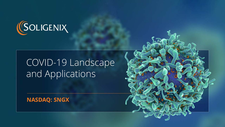

# COVID-19 Landscape and Applications

#### **NASDAQ: SNGX**

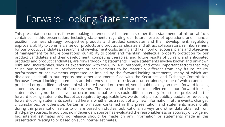### Forward-Looking Statements

This presentation contains forward-looking statements. All statements other than statements of historical facts contained in this presentation, including statements regarding our future results of operations and financial position, business strategy, prospective products and product candidates and their development, regulatory approvals, ability to commercialize our products and product candidates and attract collaborators, reimbursement for our product candidates, research and development costs, timing and likelihood of success, plans and objectives of management for future operations, our ability to obtain and maintain intellectual property protection for our product candidates and their development, competing therapies, and future results of current and anticipated products and product candidates, are forward-looking statements. These statements involve known and unknown risks and uncertainties, such as experienced with the COVID-19 outbreak, and other important factors that may cause our actual results, performance or achievements to be materially different from any future results, performance or achievements expressed or implied by the forward-looking statements, many of which are disclosed in detail in our reports and other documents filed with the Securities and Exchange Commission. Because forward-looking statements are inherently subject to risks and uncertainties, some of which cannot be predicted or quantified and some of which are beyond our control, you should not rely on these forward-looking statements as predictions of future events. The events and circumstances reflected in our forward-looking statements may not be achieved or occur and actual results could differ materially from those projected in the forward-looking statements. Except as required by applicable law, we do not plan to publicly update or revise any forward-looking statements contained herein, whether as a result of any new information, future events, changed circumstances, or otherwise. Certain information contained in this presentation and statements made orally during this presentation relate to or are based on studies, publications, surveys and other data obtained from third-party sources. In addition, no independent source has evaluated the reasonableness or accuracy of Soligenix, Inc. internal estimates and no reliance should be made on any information or statements made in this presentation relating to or based on such internal estimates.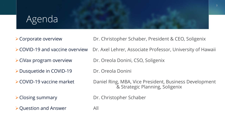## Agenda

- ▶ Corporate overview Dr. Christopher Schaber, President & CEO, Soligenix
- ▶ COVID-19 and vaccine overview Dr. Axel Lehrer, Associate Professor, University of Hawaii
- ▶ CiVax program overview Dr. Oreola Donini, CSO, Soligenix
- ▶ Dusquetide in COVID-19 Dr. Oreola Donini
- 
- 
- 
- ▶ COVID-19 vaccine market Daniel Ring, MBA, Vice President, Business Development & Strategic Planning, Soligenix
- ▶ Closing summary Dr. Christopher Schaber
- $\triangleright$  Question and Answer All
-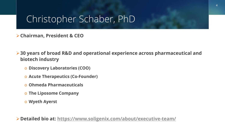### Christopher Schaber, PhD

**Chairman, President & CEO**

**30 years of broad R&D and operational experience across pharmaceutical and biotech industry**

- o **Discovery Laboratories (COO)**
- o **Acute Therapeutics (Co-Founder)**
- o **Ohmeda Pharmaceuticals**
- o **The Liposome Company**
- o **Wyeth Ayerst**

**Detailed bio at:<https://www.soligenix.com/about/executive-team/>**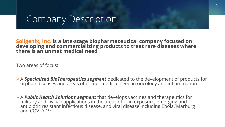#### Company Description

#### **Soligenix, Inc.** is a late-stage biopharmaceutical company focused on<br>developing and commercializing products to treat rare diseases where **there is an unmet medical need**

Two areas of focus:

- A **Specialized BioTherapeutics segment** dedicated to the development of products for orphan diseases and areas of unmet medical need in oncology and inflammation
- A *Public Health Solutions segment* that develops vaccines and therapeutics for military and civilian applications in the areas of ricin exposure, emerging and<br>antibiotic resistant infectious disease, and viral disease including Ebola, Marburg<br>and COVID-19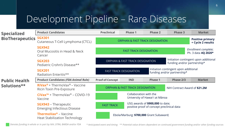## Development Pipeline – Rare Diseases

| <b>Specialized</b><br><b>BioTherapeutics</b> | <b>Product Candidates</b>                                                                                                            | <b>Preclinical</b>                                                                                    | <b>Phase 1</b>                  | <b>Phase 2</b> | <b>Phase 3</b>                              | <b>Market</b>                                |
|----------------------------------------------|--------------------------------------------------------------------------------------------------------------------------------------|-------------------------------------------------------------------------------------------------------|---------------------------------|----------------|---------------------------------------------|----------------------------------------------|
|                                              | <b>SGX301</b><br>Cutaneous T-Cell Lymphoma (CTCL)                                                                                    | <b>ORPHAN &amp; FAST TRACK DESIGNATION</b>                                                            |                                 |                |                                             | <b>Positive primary</b><br>+ Cycle 2 results |
|                                              | <b>SGX942</b><br>Oral Mucositis in Head & Neck<br>Cancer                                                                             |                                                                                                       | <b>FAST TRACK DESIGNATION</b>   |                | Enrollment complete;<br>Ph. 3 data 4Q 2020* |                                              |
|                                              | <b>SGX203</b><br>Pediatric Crohn's Disease**                                                                                         |                                                                                                       | ORPHAN & FAST TRACK DESIGNATION |                | funding and/or partnership*                 | Initiation contingent upon additional        |
|                                              | <b>SGX201</b><br>Radiation Enteritis**                                                                                               | Initiation contingent upon additional<br><b>FAST TRACK DESIGNATION</b><br>funding and/or partnership* |                                 |                |                                             |                                              |
| <b>Public Health</b><br>Solutions**          | <b>Product Candidates (FDA Animal Rule)</b>                                                                                          | <b>Proof-of-Concept</b>                                                                               | <b>IND</b>                      | <b>Phase 1</b> | Phase 2/3                                   | <b>Market</b>                                |
|                                              | $\mathsf{R} \mathsf{i} \mathsf{V} \mathsf{a} \mathsf{x}^{\mathsf{B}}$ + ThermoVax $\mathsf{B}$ – Vaccine<br>Ricin Toxin Pre-Exposure | <b>ORPHAN &amp; FAST TRACK DESIGNATION</b>                                                            |                                 |                | NIH Contract Award of \$21.2M               |                                              |
|                                              | $\mathsf{CIVax}^{\mathsf{TM}}$ + ThermoVax® – COVID-19<br>Vaccine                                                                    | Collaboration with the<br>University of Hawai'i at Mānoa                                              |                                 |                |                                             |                                              |
|                                              | <b>SGX943</b> – Therapeutic<br><b>Emerging Infectious Disease</b>                                                                    | USG awards of \$900,000 to date;<br><b>FAST TRACK</b><br>positive proof of concept preclinical data   |                                 |                |                                             |                                              |
|                                              | <b>ThermoVax<sup>®</sup> - Vaccine</b><br><b>Heat Stabilization Technology</b>                                                       | Ebola/Marburg: \$700,000 Grant Subaward;                                                              |                                 |                |                                             |                                              |

*Denotes funding in whole or in part by NIH, DTRA, BARDA and/or FDA*

*\* Anticipated event and timing \*\* Potential value drivers dependent on continued government funding and/or other funding sources*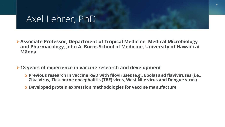#### Axel Lehrer, PhD

- **Associate Professor, Department of Tropical Medicine, Medical Microbiology and Pharmacology, John A. Burns School of Medicine, University of Hawaiʻi at Mānoa**
- **18 years of experience in vaccine research and development**
	- o **Previous research in vaccine R&D with filoviruses (e.g., Ebola) and flaviviruses (i.e., Zika virus, Tick-borne encephalitis (TBE) virus, West Nile virus and Dengue virus)**
	- o **Developed protein expression methodologies for vaccine manufacture**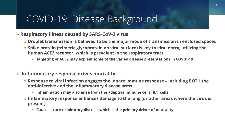#### COVID-19: Disease Background

#### **Respiratory illness caused by SARS-CoV-2 virus**

- o **Droplet transmission is believed to be the major mode of transmission in enclosed spaces**
- o **Spike protein (trimeric glycoprotein on viral surface) is key to viral entry, utilizing the human ACE2 receptor, which is prevalent in the respiratory tract,** 
	- **Targeting of ACE2 may explain some of the varied disease presentations in COVID-19**

#### **Inflammatory response drives mortality**

- o **Response to viral infection engages the innate immune response – including BOTH the anti-infective and the inflammatory disease arms**
	- **Inflammation may also arise from the adaptive immune cells (B/T cells)**
- o **Inflammatory response enhances damage to the lung (or other areas where the virus is present)**
	- **Causes acute respiratory distress which is the primary driver of mortality**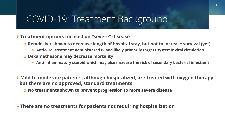#### COVID-19: Treatment Background

#### **Treatment options focused on "severe" disease**

- o **Remdesivir shown to decrease length of hospital stay, but not to increase survival (yet)**
	- **Anti-viral treatment administered IV and likely primarily targets systemic viral circulation**
- o **Dexamethasone may decrease mortality**
	- **Anti-inflammatory steroid which may also increase the risk of secondary bacterial infections**
- **Mild to moderate patients, although hospitalized, are treated with oxygen therapy but there are no approved, standard treatments**
	- o **No treatments shown to prevent progression to more severe disease**

**There are no treatments for patients not requiring hospitalization**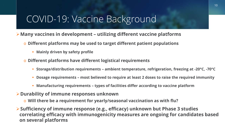#### COVID-19: Vaccine Background

- **Many vaccines in development – utilizing different vaccine platforms**
	- o **Different platforms may be used to target different patient populations**
		- **Mainly driven by safety profile**
	- o **Different platforms have different logistical requirements**
		- **Storage/distribution requirements – ambient temperature, refrigeration, freezing at -20°C, -70°C**
		- **Dosage requirements – most believed to require at least 2 doses to raise the required immunity**
		- **Manufacturing requirements – types of facilities differ according to vaccine platform**
- **Durability of immune responses unknown**
	- o **Will there be a requirement for yearly/seasonal vaccination as with flu?**

**Sufficiency of immune response (e.g., efficacy) unknown but Phase 3 studies correlating efficacy with immunogenicity measures are ongoing for candidates based on several platforms**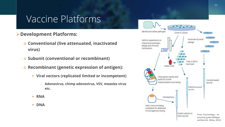#### Vaccine Platforms

- **Development Platforms:** 
	- o **Conventional (live attenuated, inactivated virus)**
	- o **Subunit (conventional or recombinant)**
	- o **Recombinant (genetic expression of antigen):**
		- **Viral vectors (replicated limited or incompetent)**
			- **Adenovirus, chimp adenovirus, VSV, measles virus etc.**
		- **RNA**
		- **DNA**

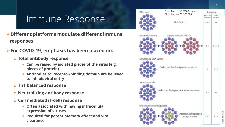## Immune Response

- **Different platforms modulate different immune responses**
- **For COVID-19, emphasis has been placed on:** 
	- o **Total antibody response**
		- **Can be raised by isolated pieces of the virus (e.g., pieces of protein)**
		- **Antibodies to Receptor-binding domain are believed to inhibit viral entry**
	- o **Th1 balanced response**
	- o **Neutralizing antibody response**
	- o **Cell mediated (T-cell) response**
		- **Often associated with having intracellular expression of viruses**
		- **Required for potent memory effect and viral clearance**

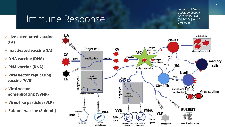#### Immune Response

From: Barrett, And Experimental Biotechnology<sup>177</sup> Experimental *Journal of Clinical*  (10.1016/j.jceh.202 0.06.003)

- **Live-attenuated vaccine (LA)**
- **Inactivated vaccine (IA)**
- **▷ DNA vaccine (DNA)**
- **RNA vaccine (RNA)**
- **Viral vector replicating vaccine (VVR)**
- **Viral vector nonreplicating (VVNR)**
- **Virus-like particles (VLP)**
- **Subunit vaccine (Subunit)**

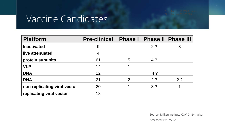## Vaccine Candidates

| <b>Platform</b>              | <b>Pre-clinical</b> | <b>Phase I</b> |                | <b>Phase II Phase III</b> |
|------------------------------|---------------------|----------------|----------------|---------------------------|
| <b>Inactivated</b>           | 9                   |                | 2 <sup>2</sup> | 3                         |
| live attenuated              |                     |                |                |                           |
| protein subunits             | 61                  | 5              | 4?             |                           |
| <b>VLP</b>                   | 14                  |                |                |                           |
| <b>DNA</b>                   | 12                  |                | 4?             |                           |
| <b>RNA</b>                   | 21                  | $\overline{2}$ | 2 <sup>2</sup> | 2 <sub>2</sub>            |
| non-replicating viral vector | 20                  |                | 3 <sup>2</sup> |                           |
| replicating viral vector     | 18                  |                |                |                           |

Source: Milken Institute COVID-19 tracker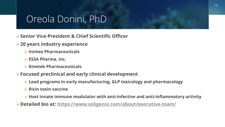#### Oreola Donini, PhD

- **Senior Vice-President & Chief Scientific Officer**
- **20 years industry experience** 
	- o **Inimex Pharmaceuticals**
	- o **ESSA Pharma, Inc.**
	- o **Kinetek Pharmaceuticals**
- **Focused preclinical and early clinical development**
	- o **Lead programs in early manufacturing, GLP toxicology and pharmacology**
	- o **Ricin toxin vaccine**
	- o **Host innate immune modulator with anti-infective and anti-inflammatory activity**
- **Detailed bio at:<https://www.soligenix.com/about/executive-team/>**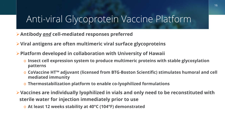## Anti-viral Glycoprotein Vaccine Platform

**Antibody** *and* **cell-mediated responses preferred**

**Viral antigens are often multimeric viral surface glycoproteins**

**Platform developed in collaboration with University of Hawaii**

- o **Insect cell expression system to produce multimeric proteins with stable glycosylation patterns**
- o **CoVaccine HT™ adjuvant (licensed from BTG-Boston Scientific) stimulates humoral and cell mediated immunity**
- o **Thermostabilization platform to enable co-lyophilized formulations**
- **Vaccines are individually lyophilized in vials and only need to be reconstituted with sterile water for injection immediately prior to use**
	- o **At least 12 weeks stability at 40°C (104°F) demonstrated**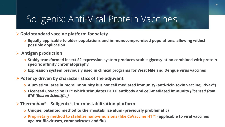## Soligenix: Anti-Viral Protein Vaccines

#### **Gold standard vaccine platform for safety**

o **Equally applicable to older populations and immunocompromised populations, allowing widest possible application** 

#### **Antigen production**

- o **Stably transformed insect S2 expression system produces stable glycosylation combined with proteinspecific affinity chromatography**
- o **Expression system previously used in clinical programs for West Nile and Dengue virus vaccines**
- **Potency driven by characteristics of the adjuvant**
	- o **Alum stimulates humoral immunity but not cell mediated immunity (anti-ricin toxin vaccine; RiVax®)**
	- o **Licensed CoVaccine HT™ which stimulates BOTH antibody and cell-mediated immunity** *(licensed from BTG (Boston Scientific))*
- **ThermoVax® – Soligenix's thermostabilization platform**
	- o **Unique, patented method to thermostabilize alum (previously problematic)**
	- o **Proprietary method to stabilize nano-emulsions (like CoVaccine HT™) (applicable to viral vaccines against filoviruses, coronaviruses and flu)**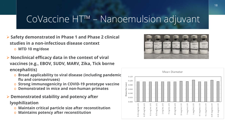## CoVaccine HT™ – Nanoemulsion adjuvant

- **Safety demonstrated in Phase 1 and Phase 2 clinical studies in a non-infectious disease context**
	- o **MTD 10 mg/dose**
- **Nonclinical efficacy data in the context of viral vaccines (e.g., EBOV, SUDV, MARV, Zika, Tick borne encephalitis)**
	- o **Broad applicability to viral disease (including pandemic flu and coronaviruses)**
	- o **Strong immunogenicity in COVID-19 prototype vaccine**
	- o **Demonstrated in mice and non-human primates**
- **Demonstrated stability and potency after lyophilization**
	- o **Maintain critical particle size after reconstitution**
	- o **Maintains potency after reconstitution**



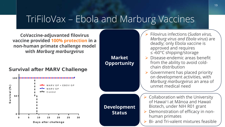### TriFiloVax – Ebola and Marburg Vaccines

**CoVaccine-adjuvanted filovirus vaccine provided 100% protection in a non-human primate challenge model with** *Marburg marburgvirus*

Survival after MARV Challenge



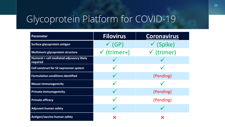# Glycoprotein Platform for COVID-19

| Parameter                                            | <b>Filovirus</b>       | <b>Coronavirus</b>    |  |  |
|------------------------------------------------------|------------------------|-----------------------|--|--|
| Surface glycoprotein antigen                         | $\checkmark$ (GP)      | $\checkmark$ (Spike)  |  |  |
| Multimeric glycoprotein structure                    | $\checkmark$ (trimer+) | $\checkmark$ (trimer) |  |  |
| Humoral + cell mediated adjuvancy likely<br>required |                        |                       |  |  |
| Cell construct for S2 expression system              |                        |                       |  |  |
| <b>Formulation conditions identified</b>             |                        | (Pending)             |  |  |
| <b>Mouse immunogenicity</b>                          |                        |                       |  |  |
| <b>Primate immunogenicity</b>                        |                        | (Pending)             |  |  |
| <b>Primate efficacy</b>                              |                        | (Pending)             |  |  |
| <b>Adjuvant human safety</b>                         |                        |                       |  |  |
| <b>Antigen/vaccine human safety</b>                  | X                      | X                     |  |  |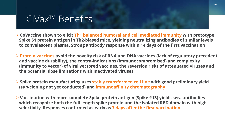#### CiVax™ Benefits

- **CoVaccine shown to elicit Th1 balanced humoral and cell mediated immunity with prototype Spike S1 protein antigen in Th2-biased mice, yielding neutralizing antibodies of similar levels to convalescent plasma. Strong antibody response within 14 days of the first vaccination**
- **Protein vaccines avoid the novelty risk of RNA and DNA vaccines (lack of regulatory precedent and vaccine durability), the contra-indications (immunocompromised) and complexity (immunity to vector) of viral vectored vaccines, the reversion risks of attenuated viruses and the potential dose limitations with inactivated viruses**
- **Spike protein manufacturing uses stably transformed cell line with good preliminary yield (sub-cloning not yet conducted) and immunoaffinity chromatography**
- **Vaccination with more complete Spike protein antigen (Spike #13) yields sera antibodies which recognize both the full length spike protein and the isolated RBD domain with high selectivity. Responses confirmed as early as 7 days after the first vaccination**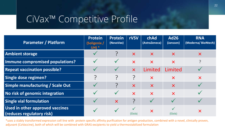### CiVax™ Competitive Profile

| <b>Parameter / Platform</b>                                         | <b>Protein</b><br>(Soligenix/<br>$UH$ ) * | <b>Protein</b><br>(NovaVax) | <b>rVSV</b>               | chAd<br>(AstraZeneca)     | <b>Ad26</b><br>(Janssen)  | <b>RNA</b><br>(Moderna/BioNtech) |
|---------------------------------------------------------------------|-------------------------------------------|-----------------------------|---------------------------|---------------------------|---------------------------|----------------------------------|
| <b>Ambient storage</b>                                              |                                           |                             | $\bm{\times}$             | $\boldsymbol{\mathsf{X}}$ | $\boldsymbol{\mathsf{X}}$ | $\boldsymbol{\mathsf{X}}$        |
| Immune compromised populations?                                     |                                           |                             | $\boldsymbol{\mathsf{X}}$ | $\boldsymbol{\mathsf{X}}$ | $\boldsymbol{\mathsf{X}}$ |                                  |
| <b>Repeat vaccination possible?</b>                                 |                                           |                             | $\boldsymbol{\mathsf{X}}$ | Limited                   | Limited                   |                                  |
| Single dose regimen?                                                |                                           |                             | <b>P</b>                  | $\boldsymbol{\mathsf{X}}$ | $\bm{\times}$             | $\boldsymbol{\mathsf{X}}$        |
| Simple manufacturing / Scale Out                                    |                                           |                             | $\bm{\times}$             | $\boldsymbol{\mathsf{X}}$ | $\boldsymbol{\mathsf{X}}$ |                                  |
| No risk of genomic integration                                      |                                           |                             | $\overline{\mathsf{X}}$   | $\boldsymbol{\mathsf{X}}$ | $\bm{\times}$             |                                  |
| <b>Single vial formulation</b>                                      |                                           | $\boldsymbol{\mathsf{X}}$   | 7                         |                           |                           |                                  |
| <b>Used in other approved vaccines</b><br>(reduces regulatory risk) |                                           |                             | (Ebola)                   | $\bm{\times}$             | (Ebola)                   | $\boldsymbol{\mathsf{X}}$        |

\*uses a stably transformed expression cell line with protein specific affinity purification for antigen production, combined with a novel, clinically proven, adjuvant (CoVaccine), both of which will be combined with GRAS excipients to yield a thermostabilized formulation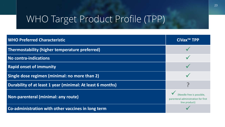# WHO Target Product Profile (TPP)

| <b>WHO Preferred Characteristic</b>                        | CiVax <sup>™</sup> TPP                                                            |
|------------------------------------------------------------|-----------------------------------------------------------------------------------|
| Thermostability (higher temperature preferred)             |                                                                                   |
| <b>No contra-indications</b>                               |                                                                                   |
| <b>Rapid onset of immunity</b>                             |                                                                                   |
| Single dose regimen (minimal: no more than 2)              |                                                                                   |
| Durability of at least 1 year (minimal: At least 6 months) |                                                                                   |
| Non-parenteral (minimal: any route)                        | (Needle free is possible.<br>parenteral administration for first<br>line product) |
| Co-administration with other vaccines in long term         |                                                                                   |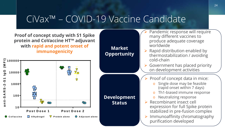#### CiVax™ – COVID-19 Vaccine Candidate

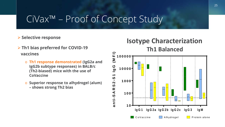## CiVax™ – Proof of Concept Study

#### **Selective response**

- **Th1 bias preferred for COVID-19 vaccines**
	- o **Th1 response demonstrated (IgG2a and IgG2b subtype responses) in BALB/c (Th2-biased) mice with the use of CoVaccine**
	- o **Superior response to alhydrogel (alum) – shows strong Th2 bias**

#### **Isotype Characterization Th1 Balanced anti-SARS2-S1 IgG (M FI)**  $(MF)$ **100000 90 10000**  $\overline{\phantom{0}}$  $S - S$ **1000** nti-SAR **100 1 0 IgG 1 IgG 2a IgG 2b IgG 2c IgG 3 IgM** CoVaccine **Alhydrogel** Protein alone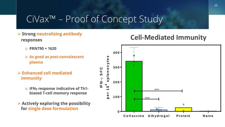## CiVax™ – Proof of Concept Study

- **Strong neutralizing antibody responses** 
	- o **PRNT90 = 1620**
	- o **As good as post-convalescent plasma**
- **Enhanced cell mediated immunity** 
	- o **IFN**γ **response indicative of Th1 biased T-cell memory response**
- **Actively exploring the possibility for single dose formulation**

#### **Cell-Mediated Immunity**

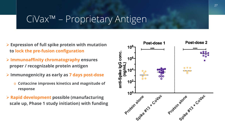#### CiVax™ – Proprietary Antigen

- **Expression of full spike protein with mutation to lock the pre-fusion configuration**
- **Immunoaffinity chromatography ensures proper / recognizable protein antigen**
- **Immunogenicity as early as 7 days post-dose**
	- o **CoVaccine improves kinetics and magnitude of response**
- **Rapid development possible (manufacturing scale up, Phase 1 study initiation) with funding**

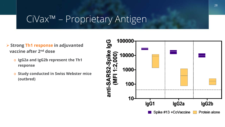#### CiVax™ – Proprietary Antigen

- **Strong Th1 response in adjuvanted vaccine after 2nd dose**
	- o **IgG2a and IgG2b represent the Th1 response**
	- o **Study conducted in Swiss Webster mice (outbred)**

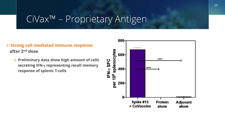## CiVax™ – Proprietary Antigen

#### **Strong cell mediated immune response after 2nd dose**

o **Preliminary data show high amount of cells secreting IFN-**γ **representing recall memory response of splenic T-cells** 

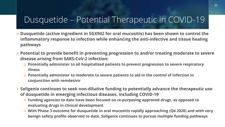#### Dusquetide – Potential Therapeutic in COVID-19

- **Dusquetide (active ingredient in SGX942 for oral mucositis) has been shown to control the inflammatory response to infection while enhancing the anti-infective and tissue healing pathways**
- **Potential to provide benefit in preventing progression to and/or treating moderate to severe disease arising from SARS-CoV-2 infection:**
	- o **Potentially administer to all hospitalized patients to prevent progression to severe respiratory illness**
	- o **Potentially administer to moderate to severe patients to aid in the control of infection in conjunction with remdesivir**
- **Soligenix continues to seek non-dilutive funding to potentially advance the therapeutic use of dusquetide in emerging infectious diseases, including COVID-19**
	- o **Funding agencies to date have been focused on re-purposing approved drugs, as opposed to evaluating drugs in clinical development**
	- o **With Phase 3 outcome for dusquetide in oral mucositis rapidly approaching (Q4 2020) and with very benign safety profile observed to date, Soligenix continues to pursue multiple funding pathways**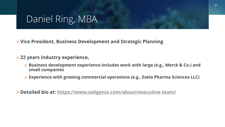#### Daniel Ring, MBA

**Vice President, Business Development and Strategic Planning**

- **22 years industry experience,**
	- o **Business development experience includes work with large (e.g., Merck & Co.) and small companies**
	- o **Experience with growing commercial operations (e.g., Exela Pharma Sciences LLC)**
- **Detailed bio at:<https://www.soligenix.com/about/executive-team/>**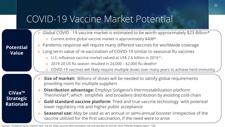#### COVID-19 Vaccine Market Potential

#### **Potential Value** Global COVID - 19 vaccine market is estimated to be worth approximately \$23 Billion\* o Current entire global vaccine market is approximately \$40B\*  $\triangleright$  Pandemic response will require many different vaccines for worldwide coverage Long term value of re-vaccination of COVID-19 similar to seasonal flu vaccines o U.S. influenza vaccine market valued at US\$ 2.6 billion in 2019  $\frac{1}{5}$ ;  $\degree$  2019-20 US flu season resulted in 24,000 – 62,000 flu deaths $\pm$ o COVID-19 vaccines will likely require multiple doses over many years to achieve herd immunity **Size of market:** Billions of doses will be needed to satisfy global requirements providing room for multiple suppliers **Distribution advantage:** Employs Soligenix's thermostabilization platform ThermoVax®, which simplifies and broadens distribution by avoiding cold-chain **► Gold standard vaccine platform**: Tried and true vaccine technology with potential lower regulatory risk and higher public acceptance **Seasonal use:** May be used as an annual or semi-annual booster irrespective of the vaccine utilized for the first vaccination, if the need were to arise **CiVax™ Strategic Rationale**

Sources: \*Goldman Sachs research note July 29, 2020, assumes 50% vaccination rate and two does at \$19.50 / dose. **§** Market Insights report. ± CDC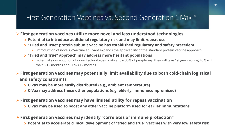#### First Generation Vaccines vs. Second Generation CiVax™

#### **First generation vaccines utilize more novel and less understood technologies**

- o **Potential to introduce additional regulatory risk and may limit repeat use**
- o **"Tried and True" protein subunit vaccine has established regulatory and safety precedent**
	- **Introduction of novel CoVaccine adjuvant expands the applicability of the standard protein vaccine approach**
- o **"Tried and True" approach may address more hesitant populations**
	- Potential slow adoption of novel technologies; data show 30% of people say they will take 1st gen vaccine; 40% will wait 6-12 months and 30% >12 months
- **First generation vaccines may potentially limit availability due to both cold-chain logistical and safety constraints**
	- o **CiVax may be more easily distributed (e.g., ambient temperature)**
	- o **CiVax may address these other populations (e.g. elderly, immunocompromised)**
- **First generation vaccines may have limited utility for repeat vaccination**
	- o **CiVax may be used to boost any other vaccine platform used for earlier immunizations**

#### **First generation vaccines may identify "correlates of immune protection"**

o **Potential to accelerate clinical development of "tried and true" vaccines with very low safety risk**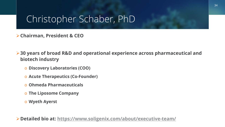### Christopher Schaber, PhD

**Chairman, President & CEO**

**30 years of broad R&D and operational experience across pharmaceutical and biotech industry**

- o **Discovery Laboratories (COO)**
- o **Acute Therapeutics (Co-Founder)**
- o **Ohmeda Pharmaceuticals**
- o **The Liposome Company**
- o **Wyeth Ayerst**

**Detailed bio at:<https://www.soligenix.com/about/executive-team/>**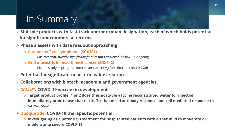# In Summary

 **Multiple products with fast track and/or orphan designation, each of which holds potential for significant commercial returns** 

**Phase 3 assets with data readout approaching**

- o **Cutaneous T-cell lymphoma (SGX301)** 
	- *Positive statistically significant final results achieved*; follow-up ongoing
- o **Oral mucositis in head & neck cancer (SGX942)** 
	- Pivotal study in progress; interim analysis *complete;* final results *4Q 2020*
- **Potential for significant near-term value creation**
- **Collaborations with biotech, academia and government agencies**
- **CiVax™: COVID-19 vaccine in development**
	- o **Target product profile: 1 or 2 dose thermostable vaccine reconstituted water for injection immediately prior to use that elicits Th1 balanced antibody response and cell mediated response to SARS-CoV-2**

#### **Dusquetide: COVID-19 therapeutic potential**

o **Investigating as a potential treatment for hospitalized patients with either mild to moderate or moderate to severe COVID-19**